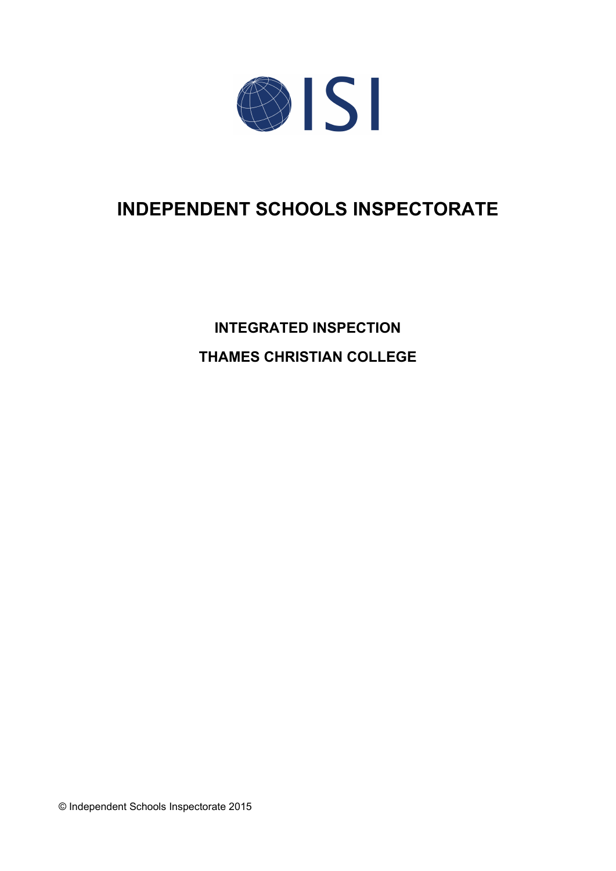

# **INDEPENDENT SCHOOLS INSPECTORATE**

**INTEGRATED INSPECTION THAMES CHRISTIAN COLLEGE**

© Independent Schools Inspectorate 2015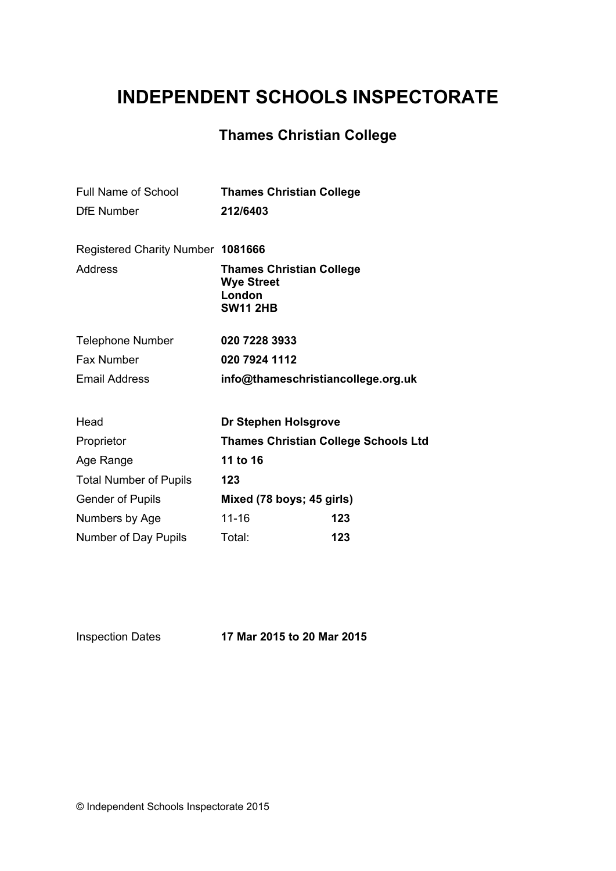## **INDEPENDENT SCHOOLS INSPECTORATE**

## **Thames Christian College**

| <b>Full Name of School</b><br><b>DfE Number</b> | <b>Thames Christian College</b><br>212/6403          |     |  |
|-------------------------------------------------|------------------------------------------------------|-----|--|
| Registered Charity Number 1081666<br>Address    | <b>Thames Christian College</b><br><b>Wye Street</b> |     |  |
|                                                 | London<br><b>SW11 2HB</b>                            |     |  |
| <b>Telephone Number</b>                         | 020 7228 3933                                        |     |  |
| Fax Number                                      | 020 7924 1112                                        |     |  |
| <b>Email Address</b>                            | info@thameschristiancollege.org.uk                   |     |  |
| Head                                            | Dr Stephen Holsgrove                                 |     |  |
| Proprietor                                      | <b>Thames Christian College Schools Ltd</b>          |     |  |
| Age Range                                       | 11 to 16                                             |     |  |
| <b>Total Number of Pupils</b>                   | 123                                                  |     |  |
| <b>Gender of Pupils</b>                         | Mixed (78 boys; 45 girls)                            |     |  |
| Numbers by Age                                  | $11 - 16$                                            | 123 |  |
| Number of Day Pupils                            | Total:                                               | 123 |  |

Inspection Dates **17 Mar 2015 to 20 Mar 2015**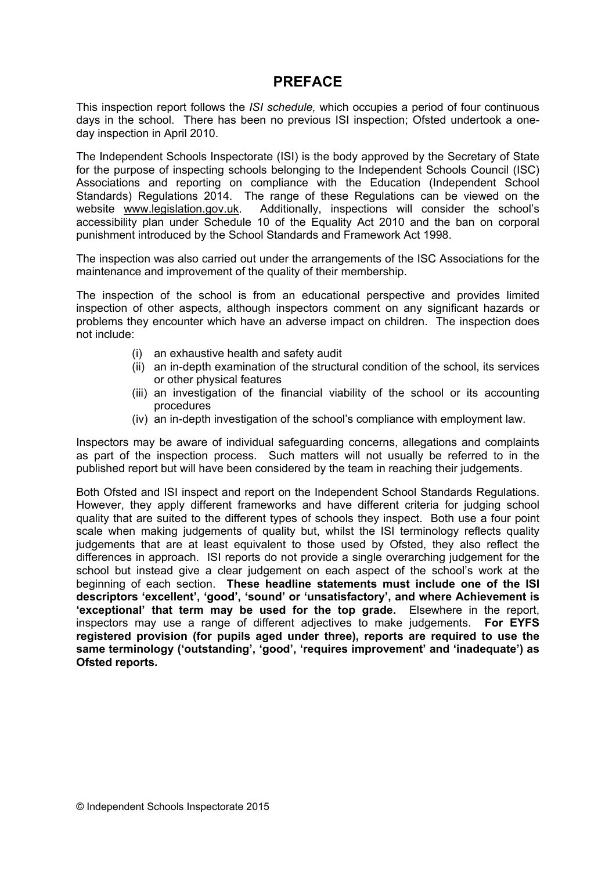## **PREFACE**

This inspection report follows the *ISI schedule,* which occupies a period of four continuous days in the school. There has been no previous ISI inspection; Ofsted undertook a oneday inspection in April 2010.

The Independent Schools Inspectorate (ISI) is the body approved by the Secretary of State for the purpose of inspecting schools belonging to the Independent Schools Council (ISC) Associations and reporting on compliance with the Education (Independent School Standards) Regulations 2014. The range of these Regulations can be viewed on the website [www.legislation.gov.uk.](http://www.legislation.gov.uk) Additionally, inspections will consider the school's accessibility plan under Schedule 10 of the Equality Act 2010 and the ban on corporal punishment introduced by the School Standards and Framework Act 1998.

The inspection was also carried out under the arrangements of the ISC Associations for the maintenance and improvement of the quality of their membership.

The inspection of the school is from an educational perspective and provides limited inspection of other aspects, although inspectors comment on any significant hazards or problems they encounter which have an adverse impact on children. The inspection does not include:

- (i) an exhaustive health and safety audit
- (ii) an in-depth examination of the structural condition of the school, its services or other physical features
- (iii) an investigation of the financial viability of the school or its accounting procedures
- (iv) an in-depth investigation of the school's compliance with employment law.

Inspectors may be aware of individual safeguarding concerns, allegations and complaints as part of the inspection process. Such matters will not usually be referred to in the published report but will have been considered by the team in reaching their judgements.

Both Ofsted and ISI inspect and report on the Independent School Standards Regulations. However, they apply different frameworks and have different criteria for judging school quality that are suited to the different types of schools they inspect. Both use a four point scale when making judgements of quality but, whilst the ISI terminology reflects quality judgements that are at least equivalent to those used by Ofsted, they also reflect the differences in approach. ISI reports do not provide a single overarching judgement for the school but instead give a clear judgement on each aspect of the school's work at the beginning of each section. **These headline statements must include one of the ISI descriptors 'excellent', 'good', 'sound' or 'unsatisfactory', and where Achievement is 'exceptional' that term may be used for the top grade.** Elsewhere in the report, inspectors may use a range of different adjectives to make judgements. **For EYFS registered provision (for pupils aged under three), reports are required to use the same terminology ('outstanding', 'good', 'requires improvement' and 'inadequate') as Ofsted reports.**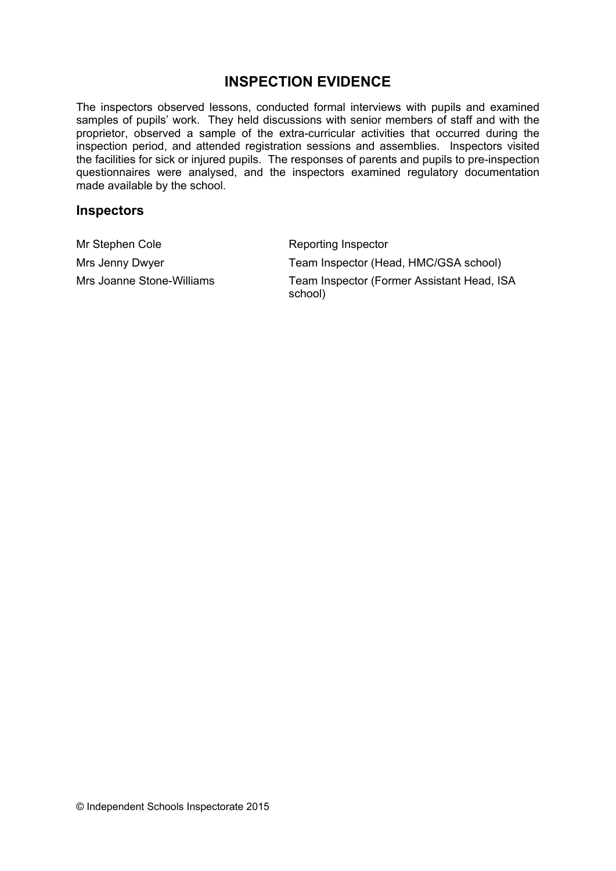## **INSPECTION EVIDENCE**

The inspectors observed lessons, conducted formal interviews with pupils and examined samples of pupils' work. They held discussions with senior members of staff and with the proprietor, observed a sample of the extra-curricular activities that occurred during the inspection period, and attended registration sessions and assemblies. Inspectors visited the facilities for sick or injured pupils. The responses of parents and pupils to pre-inspection questionnaires were analysed, and the inspectors examined regulatory documentation made available by the school.

#### **Inspectors**

Mr Stephen Cole **Reporting Inspector** 

Mrs Jenny Dwyer Team Inspector (Head, HMC/GSA school) Mrs Joanne Stone-Williams Team Inspector (Former Assistant Head, ISA school)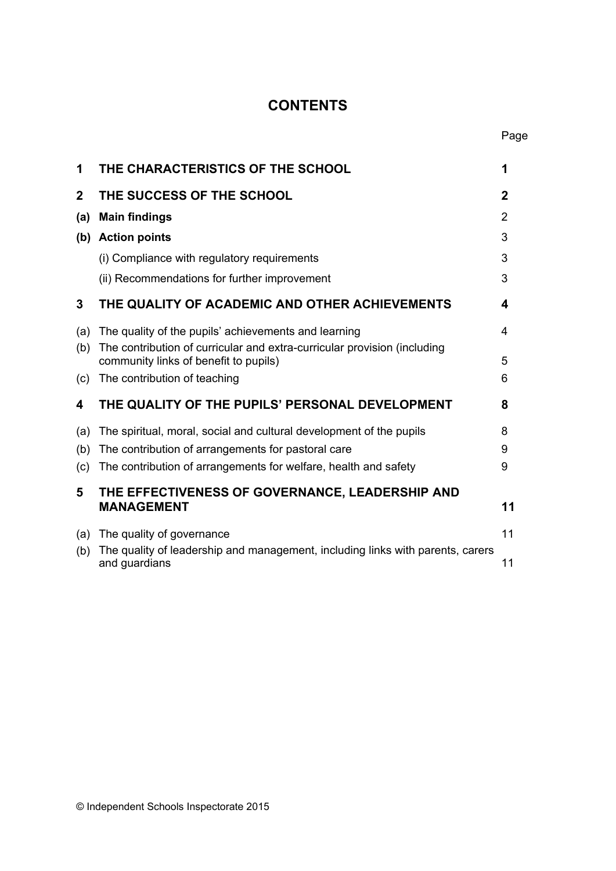## **CONTENTS**

| 1           | THE CHARACTERISTICS OF THE SCHOOL                                                                                 | 1           |
|-------------|-------------------------------------------------------------------------------------------------------------------|-------------|
| $\mathbf 2$ | THE SUCCESS OF THE SCHOOL                                                                                         | $\mathbf 2$ |
| (a)         | <b>Main findings</b>                                                                                              | 2           |
| (b)         | <b>Action points</b>                                                                                              | 3           |
|             | (i) Compliance with regulatory requirements                                                                       | 3           |
|             | (ii) Recommendations for further improvement                                                                      | 3           |
| 3           | THE QUALITY OF ACADEMIC AND OTHER ACHIEVEMENTS                                                                    | 4           |
| (a)         | The quality of the pupils' achievements and learning                                                              | 4           |
| (b)         | The contribution of curricular and extra-curricular provision (including<br>community links of benefit to pupils) | 5           |
| (c)         | The contribution of teaching                                                                                      | 6           |
| 4           | THE QUALITY OF THE PUPILS' PERSONAL DEVELOPMENT                                                                   | 8           |
| (a)         | The spiritual, moral, social and cultural development of the pupils                                               | 8           |
| (b)         | The contribution of arrangements for pastoral care                                                                | 9           |
| (c)         | The contribution of arrangements for welfare, health and safety                                                   | 9           |
| 5           | THE EFFECTIVENESS OF GOVERNANCE, LEADERSHIP AND<br><b>MANAGEMENT</b>                                              | 11          |
| (a)         | The quality of governance                                                                                         | 11          |
| (b)         | The quality of leadership and management, including links with parents, carers<br>and guardians                   | 11          |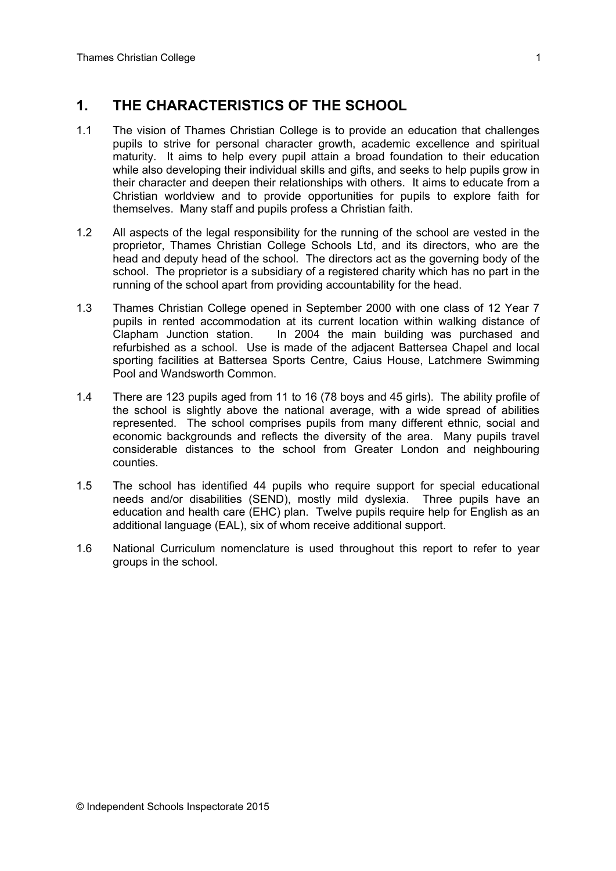## **1. THE CHARACTERISTICS OF THE SCHOOL**

- 1.1 The vision of Thames Christian College is to provide an education that challenges pupils to strive for personal character growth, academic excellence and spiritual maturity. It aims to help every pupil attain a broad foundation to their education while also developing their individual skills and gifts, and seeks to help pupils grow in their character and deepen their relationships with others. It aims to educate from a Christian worldview and to provide opportunities for pupils to explore faith for themselves. Many staff and pupils profess a Christian faith.
- 1.2 All aspects of the legal responsibility for the running of the school are vested in the proprietor, Thames Christian College Schools Ltd, and its directors, who are the head and deputy head of the school. The directors act as the governing body of the school. The proprietor is a subsidiary of a registered charity which has no part in the running of the school apart from providing accountability for the head.
- 1.3 Thames Christian College opened in September 2000 with one class of 12 Year 7 pupils in rented accommodation at its current location within walking distance of Clapham Junction station. In 2004 the main building was purchased and refurbished as a school. Use is made of the adjacent Battersea Chapel and local sporting facilities at Battersea Sports Centre, Caius House, Latchmere Swimming Pool and Wandsworth Common.
- 1.4 There are 123 pupils aged from 11 to 16 (78 boys and 45 girls). The ability profile of the school is slightly above the national average, with a wide spread of abilities represented. The school comprises pupils from many different ethnic, social and economic backgrounds and reflects the diversity of the area. Many pupils travel considerable distances to the school from Greater London and neighbouring counties.
- 1.5 The school has identified 44 pupils who require support for special educational needs and/or disabilities (SEND), mostly mild dyslexia. Three pupils have an education and health care (EHC) plan. Twelve pupils require help for English as an additional language (EAL), six of whom receive additional support.
- 1.6 National Curriculum nomenclature is used throughout this report to refer to year groups in the school.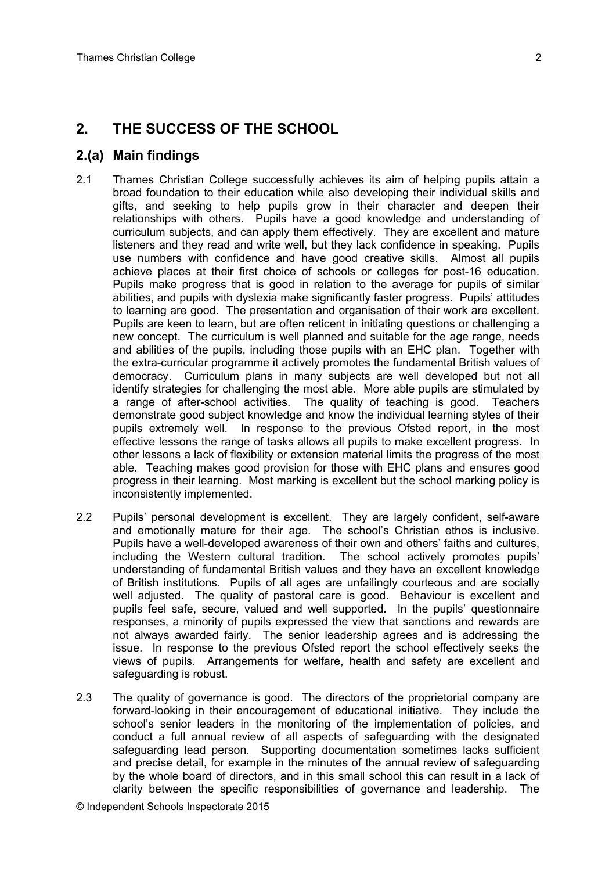## **2. THE SUCCESS OF THE SCHOOL**

#### **2.(a) Main findings**

- 2.1 Thames Christian College successfully achieves its aim of helping pupils attain a broad foundation to their education while also developing their individual skills and gifts, and seeking to help pupils grow in their character and deepen their relationships with others. Pupils have a good knowledge and understanding of curriculum subjects, and can apply them effectively. They are excellent and mature listeners and they read and write well, but they lack confidence in speaking. Pupils use numbers with confidence and have good creative skills. Almost all pupils achieve places at their first choice of schools or colleges for post-16 education. Pupils make progress that is good in relation to the average for pupils of similar abilities, and pupils with dyslexia make significantly faster progress. Pupils' attitudes to learning are good. The presentation and organisation of their work are excellent. Pupils are keen to learn, but are often reticent in initiating questions or challenging a new concept. The curriculum is well planned and suitable for the age range, needs and abilities of the pupils, including those pupils with an EHC plan. Together with the extra-curricular programme it actively promotes the fundamental British values of democracy. Curriculum plans in many subjects are well developed but not all identify strategies for challenging the most able. More able pupils are stimulated by a range of after-school activities. The quality of teaching is good. Teachers demonstrate good subject knowledge and know the individual learning styles of their pupils extremely well. In response to the previous Ofsted report, in the most effective lessons the range of tasks allows all pupils to make excellent progress. In other lessons a lack of flexibility or extension material limits the progress of the most able. Teaching makes good provision for those with EHC plans and ensures good progress in their learning. Most marking is excellent but the school marking policy is inconsistently implemented.
- 2.2 Pupils' personal development is excellent. They are largely confident, self-aware and emotionally mature for their age. The school's Christian ethos is inclusive. Pupils have a well-developed awareness of their own and others' faiths and cultures, including the Western cultural tradition. The school actively promotes pupils' understanding of fundamental British values and they have an excellent knowledge of British institutions. Pupils of all ages are unfailingly courteous and are socially well adjusted. The quality of pastoral care is good. Behaviour is excellent and pupils feel safe, secure, valued and well supported. In the pupils' questionnaire responses, a minority of pupils expressed the view that sanctions and rewards are not always awarded fairly. The senior leadership agrees and is addressing the issue. In response to the previous Ofsted report the school effectively seeks the views of pupils. Arrangements for welfare, health and safety are excellent and safeguarding is robust.
- 2.3 The quality of governance is good. The directors of the proprietorial company are forward-looking in their encouragement of educational initiative. They include the school's senior leaders in the monitoring of the implementation of policies, and conduct a full annual review of all aspects of safeguarding with the designated safeguarding lead person. Supporting documentation sometimes lacks sufficient and precise detail, for example in the minutes of the annual review of safeguarding by the whole board of directors, and in this small school this can result in a lack of clarity between the specific responsibilities of governance and leadership. The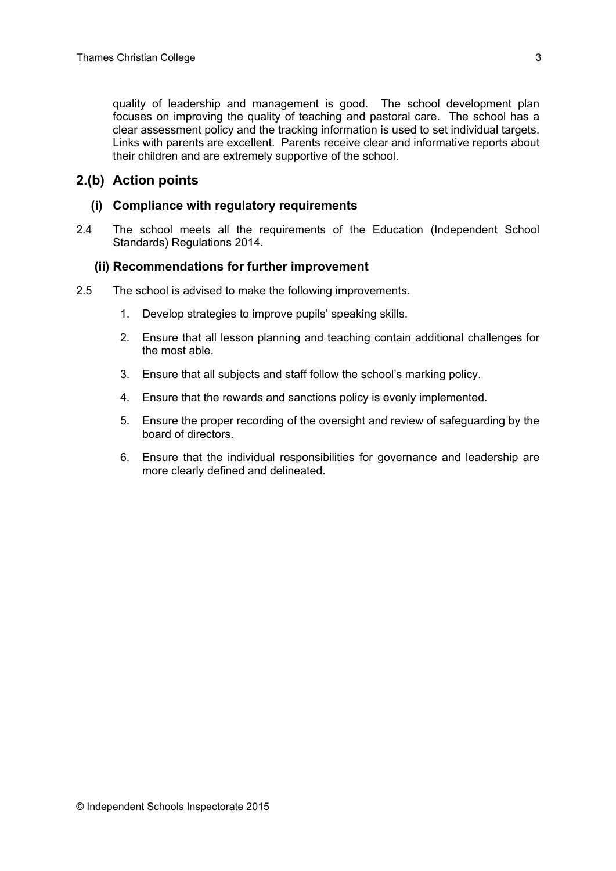quality of leadership and management is good. The school development plan focuses on improving the quality of teaching and pastoral care. The school has a clear assessment policy and the tracking information is used to set individual targets. Links with parents are excellent. Parents receive clear and informative reports about their children and are extremely supportive of the school.

## **2.(b) Action points**

#### **(i) Compliance with regulatory requirements**

2.4 The school meets all the requirements of the Education (Independent School Standards) Regulations 2014.

#### **(ii) Recommendations for further improvement**

- 2.5 The school is advised to make the following improvements.
	- 1. Develop strategies to improve pupils' speaking skills.
	- 2. Ensure that all lesson planning and teaching contain additional challenges for the most able.
	- 3. Ensure that all subjects and staff follow the school's marking policy.
	- 4. Ensure that the rewards and sanctions policy is evenly implemented.
	- 5. Ensure the proper recording of the oversight and review of safeguarding by the board of directors.
	- 6. Ensure that the individual responsibilities for governance and leadership are more clearly defined and delineated.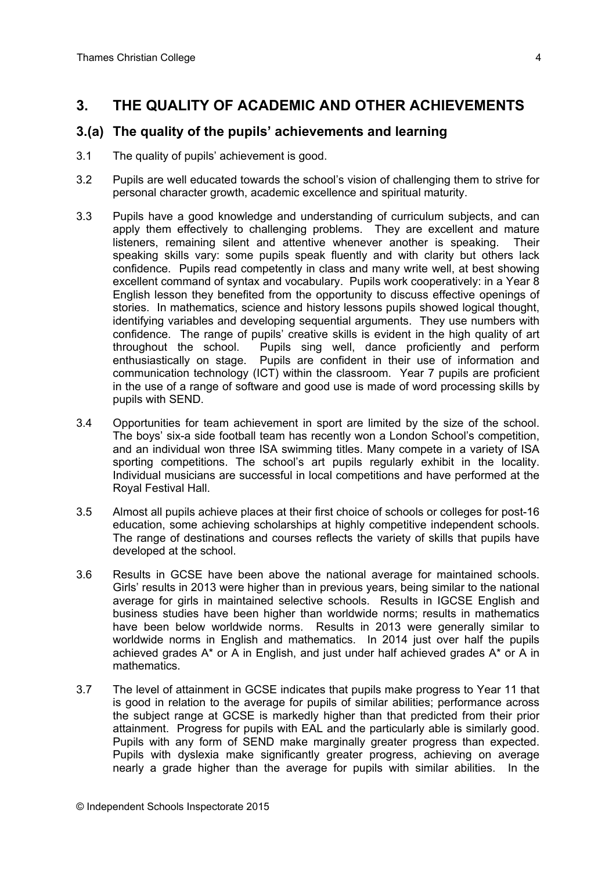## **3. THE QUALITY OF ACADEMIC AND OTHER ACHIEVEMENTS**

## **3.(a) The quality of the pupils' achievements and learning**

- 3.1 The quality of pupils' achievement is good.
- 3.2 Pupils are well educated towards the school's vision of challenging them to strive for personal character growth, academic excellence and spiritual maturity.
- 3.3 Pupils have a good knowledge and understanding of curriculum subjects, and can apply them effectively to challenging problems. They are excellent and mature listeners, remaining silent and attentive whenever another is speaking. Their speaking skills vary: some pupils speak fluently and with clarity but others lack confidence. Pupils read competently in class and many write well, at best showing excellent command of syntax and vocabulary. Pupils work cooperatively: in a Year 8 English lesson they benefited from the opportunity to discuss effective openings of stories. In mathematics, science and history lessons pupils showed logical thought, identifying variables and developing sequential arguments. They use numbers with confidence. The range of pupils' creative skills is evident in the high quality of art throughout the school. Pupils sing well, dance proficiently and perform enthusiastically on stage. Pupils are confident in their use of information and communication technology (ICT) within the classroom. Year 7 pupils are proficient in the use of a range of software and good use is made of word processing skills by pupils with SEND.
- 3.4 Opportunities for team achievement in sport are limited by the size of the school. The boys' six-a side football team has recently won a London School's competition, and an individual won three ISA swimming titles. Many compete in a variety of ISA sporting competitions. The school's art pupils regularly exhibit in the locality. Individual musicians are successful in local competitions and have performed at the Royal Festival Hall.
- 3.5 Almost all pupils achieve places at their first choice of schools or colleges for post-16 education, some achieving scholarships at highly competitive independent schools. The range of destinations and courses reflects the variety of skills that pupils have developed at the school.
- 3.6 Results in GCSE have been above the national average for maintained schools. Girls' results in 2013 were higher than in previous years, being similar to the national average for girls in maintained selective schools. Results in IGCSE English and business studies have been higher than worldwide norms; results in mathematics have been below worldwide norms. Results in 2013 were generally similar to worldwide norms in English and mathematics. In 2014 just over half the pupils achieved grades A\* or A in English, and just under half achieved grades A\* or A in mathematics.
- 3.7 The level of attainment in GCSE indicates that pupils make progress to Year 11 that is good in relation to the average for pupils of similar abilities; performance across the subject range at GCSE is markedly higher than that predicted from their prior attainment. Progress for pupils with EAL and the particularly able is similarly good. Pupils with any form of SEND make marginally greater progress than expected. Pupils with dyslexia make significantly greater progress, achieving on average nearly a grade higher than the average for pupils with similar abilities. In the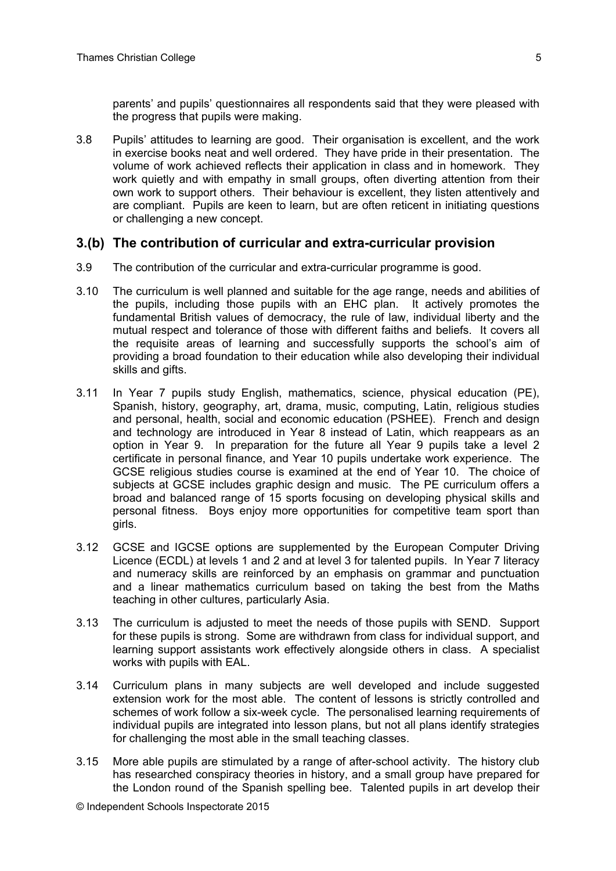parents' and pupils' questionnaires all respondents said that they were pleased with the progress that pupils were making.

3.8 Pupils' attitudes to learning are good. Their organisation is excellent, and the work in exercise books neat and well ordered. They have pride in their presentation. The volume of work achieved reflects their application in class and in homework. They work quietly and with empathy in small groups, often diverting attention from their own work to support others. Their behaviour is excellent, they listen attentively and are compliant. Pupils are keen to learn, but are often reticent in initiating questions or challenging a new concept.

#### **3.(b) The contribution of curricular and extra-curricular provision**

- 3.9 The contribution of the curricular and extra-curricular programme is good.
- 3.10 The curriculum is well planned and suitable for the age range, needs and abilities of the pupils, including those pupils with an EHC plan. It actively promotes the fundamental British values of democracy, the rule of law, individual liberty and the mutual respect and tolerance of those with different faiths and beliefs. It covers all the requisite areas of learning and successfully supports the school's aim of providing a broad foundation to their education while also developing their individual skills and gifts.
- 3.11 In Year 7 pupils study English, mathematics, science, physical education (PE), Spanish, history, geography, art, drama, music, computing, Latin, religious studies and personal, health, social and economic education (PSHEE). French and design and technology are introduced in Year 8 instead of Latin, which reappears as an option in Year 9. In preparation for the future all Year 9 pupils take a level 2 certificate in personal finance, and Year 10 pupils undertake work experience. The GCSE religious studies course is examined at the end of Year 10. The choice of subjects at GCSE includes graphic design and music. The PE curriculum offers a broad and balanced range of 15 sports focusing on developing physical skills and personal fitness. Boys enjoy more opportunities for competitive team sport than girls.
- 3.12 GCSE and IGCSE options are supplemented by the European Computer Driving Licence (ECDL) at levels 1 and 2 and at level 3 for talented pupils. In Year 7 literacy and numeracy skills are reinforced by an emphasis on grammar and punctuation and a linear mathematics curriculum based on taking the best from the Maths teaching in other cultures, particularly Asia.
- 3.13 The curriculum is adjusted to meet the needs of those pupils with SEND. Support for these pupils is strong. Some are withdrawn from class for individual support, and learning support assistants work effectively alongside others in class. A specialist works with pupils with EAL.
- 3.14 Curriculum plans in many subjects are well developed and include suggested extension work for the most able. The content of lessons is strictly controlled and schemes of work follow a six-week cycle. The personalised learning requirements of individual pupils are integrated into lesson plans, but not all plans identify strategies for challenging the most able in the small teaching classes.
- 3.15 More able pupils are stimulated by a range of after-school activity. The history club has researched conspiracy theories in history, and a small group have prepared for the London round of the Spanish spelling bee. Talented pupils in art develop their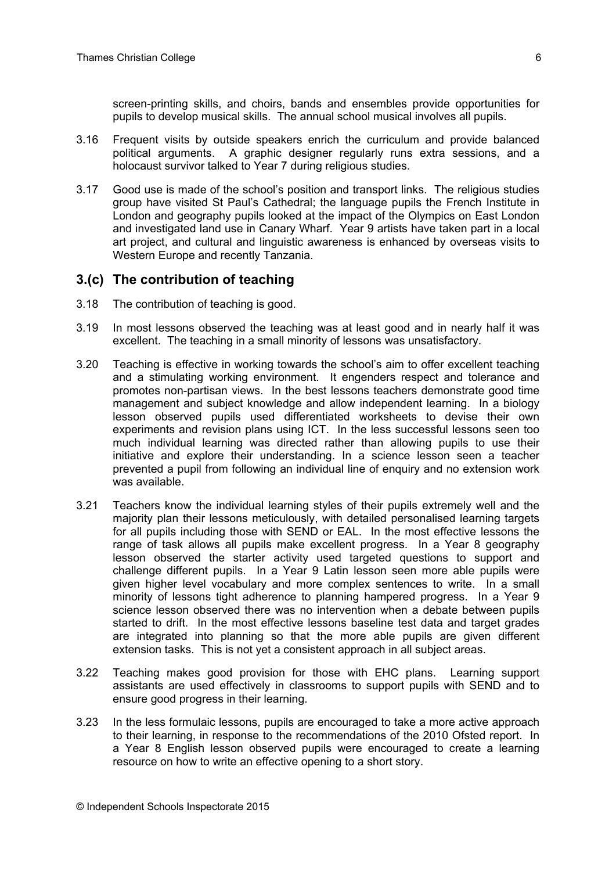screen-printing skills, and choirs, bands and ensembles provide opportunities for pupils to develop musical skills. The annual school musical involves all pupils.

- 3.16 Frequent visits by outside speakers enrich the curriculum and provide balanced political arguments. A graphic designer regularly runs extra sessions, and a holocaust survivor talked to Year 7 during religious studies.
- 3.17 Good use is made of the school's position and transport links. The religious studies group have visited St Paul's Cathedral; the language pupils the French Institute in London and geography pupils looked at the impact of the Olympics on East London and investigated land use in Canary Wharf. Year 9 artists have taken part in a local art project, and cultural and linguistic awareness is enhanced by overseas visits to Western Europe and recently Tanzania.

#### **3.(c) The contribution of teaching**

- 3.18 The contribution of teaching is good.
- 3.19 In most lessons observed the teaching was at least good and in nearly half it was excellent. The teaching in a small minority of lessons was unsatisfactory.
- 3.20 Teaching is effective in working towards the school's aim to offer excellent teaching and a stimulating working environment. It engenders respect and tolerance and promotes non-partisan views. In the best lessons teachers demonstrate good time management and subject knowledge and allow independent learning. In a biology lesson observed pupils used differentiated worksheets to devise their own experiments and revision plans using ICT. In the less successful lessons seen too much individual learning was directed rather than allowing pupils to use their initiative and explore their understanding. In a science lesson seen a teacher prevented a pupil from following an individual line of enquiry and no extension work was available.
- 3.21 Teachers know the individual learning styles of their pupils extremely well and the majority plan their lessons meticulously, with detailed personalised learning targets for all pupils including those with SEND or EAL. In the most effective lessons the range of task allows all pupils make excellent progress. In a Year 8 geography lesson observed the starter activity used targeted questions to support and challenge different pupils. In a Year 9 Latin lesson seen more able pupils were given higher level vocabulary and more complex sentences to write. In a small minority of lessons tight adherence to planning hampered progress. In a Year 9 science lesson observed there was no intervention when a debate between pupils started to drift. In the most effective lessons baseline test data and target grades are integrated into planning so that the more able pupils are given different extension tasks. This is not yet a consistent approach in all subject areas.
- 3.22 Teaching makes good provision for those with EHC plans. Learning support assistants are used effectively in classrooms to support pupils with SEND and to ensure good progress in their learning.
- 3.23 In the less formulaic lessons, pupils are encouraged to take a more active approach to their learning, in response to the recommendations of the 2010 Ofsted report. In a Year 8 English lesson observed pupils were encouraged to create a learning resource on how to write an effective opening to a short story.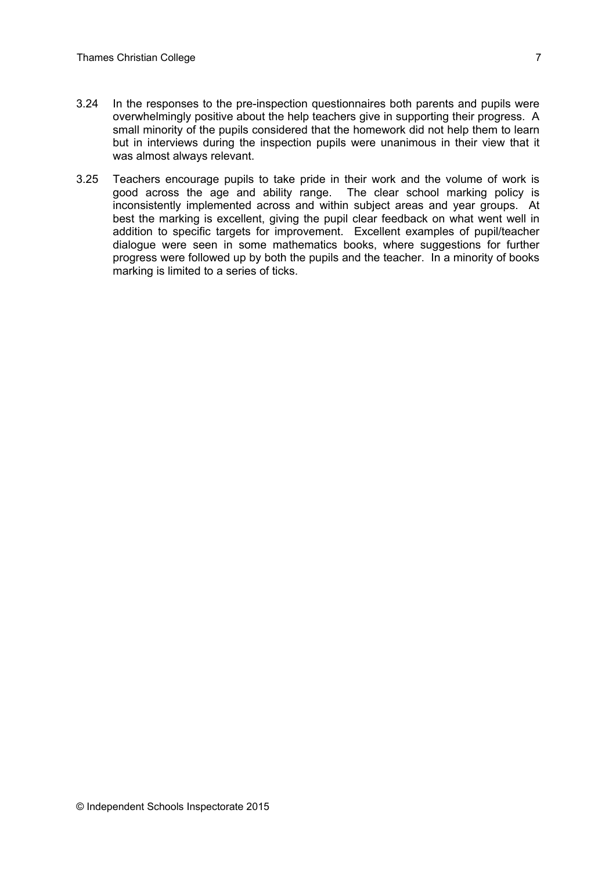- 3.24 In the responses to the pre-inspection questionnaires both parents and pupils were overwhelmingly positive about the help teachers give in supporting their progress. A small minority of the pupils considered that the homework did not help them to learn but in interviews during the inspection pupils were unanimous in their view that it was almost always relevant.
- 3.25 Teachers encourage pupils to take pride in their work and the volume of work is good across the age and ability range. The clear school marking policy is inconsistently implemented across and within subject areas and year groups. At best the marking is excellent, giving the pupil clear feedback on what went well in addition to specific targets for improvement. Excellent examples of pupil/teacher dialogue were seen in some mathematics books, where suggestions for further progress were followed up by both the pupils and the teacher. In a minority of books marking is limited to a series of ticks.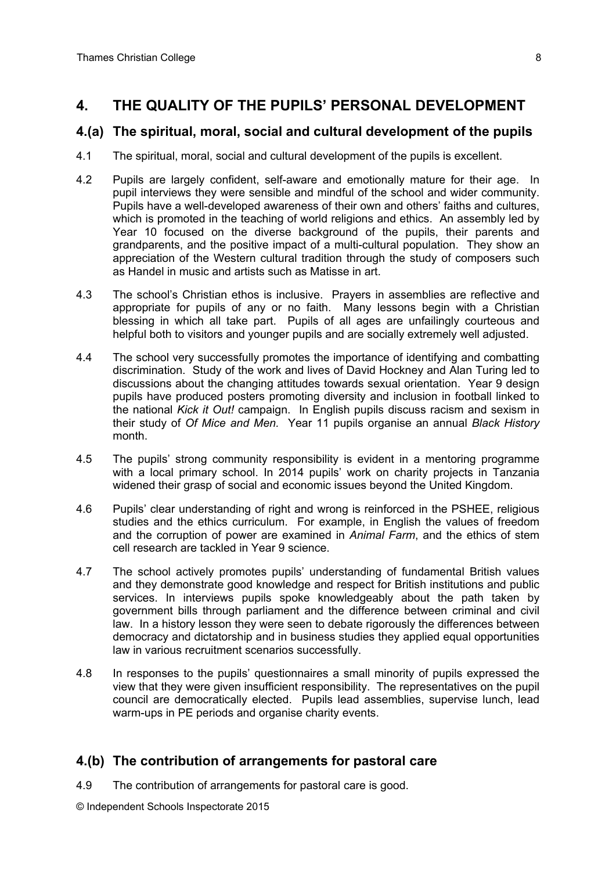## **4. THE QUALITY OF THE PUPILS' PERSONAL DEVELOPMENT**

## **4.(a) The spiritual, moral, social and cultural development of the pupils**

- 4.1 The spiritual, moral, social and cultural development of the pupils is excellent.
- 4.2 Pupils are largely confident, self-aware and emotionally mature for their age. In pupil interviews they were sensible and mindful of the school and wider community. Pupils have a well-developed awareness of their own and others' faiths and cultures, which is promoted in the teaching of world religions and ethics. An assembly led by Year 10 focused on the diverse background of the pupils, their parents and grandparents, and the positive impact of a multi-cultural population. They show an appreciation of the Western cultural tradition through the study of composers such as Handel in music and artists such as Matisse in art.
- 4.3 The school's Christian ethos is inclusive. Prayers in assemblies are reflective and appropriate for pupils of any or no faith. Many lessons begin with a Christian blessing in which all take part. Pupils of all ages are unfailingly courteous and helpful both to visitors and younger pupils and are socially extremely well adjusted.
- 4.4 The school very successfully promotes the importance of identifying and combatting discrimination. Study of the work and lives of David Hockney and Alan Turing led to discussions about the changing attitudes towards sexual orientation. Year 9 design pupils have produced posters promoting diversity and inclusion in football linked to the national *Kick it Out!* campaign. In English pupils discuss racism and sexism in their study of *Of Mice and Men.* Year 11 pupils organise an annual *Black History* month.
- 4.5 The pupils' strong community responsibility is evident in a mentoring programme with a local primary school. In 2014 pupils' work on charity projects in Tanzania widened their grasp of social and economic issues beyond the United Kingdom.
- 4.6 Pupils' clear understanding of right and wrong is reinforced in the PSHEE, religious studies and the ethics curriculum. For example, in English the values of freedom and the corruption of power are examined in *Animal Farm*, and the ethics of stem cell research are tackled in Year 9 science.
- 4.7 The school actively promotes pupils' understanding of fundamental British values and they demonstrate good knowledge and respect for British institutions and public services. In interviews pupils spoke knowledgeably about the path taken by government bills through parliament and the difference between criminal and civil law. In a history lesson they were seen to debate rigorously the differences between democracy and dictatorship and in business studies they applied equal opportunities law in various recruitment scenarios successfully.
- 4.8 In responses to the pupils' questionnaires a small minority of pupils expressed the view that they were given insufficient responsibility. The representatives on the pupil council are democratically elected. Pupils lead assemblies, supervise lunch, lead warm-ups in PE periods and organise charity events.

## **4.(b) The contribution of arrangements for pastoral care**

4.9 The contribution of arrangements for pastoral care is good.

© Independent Schools Inspectorate 2015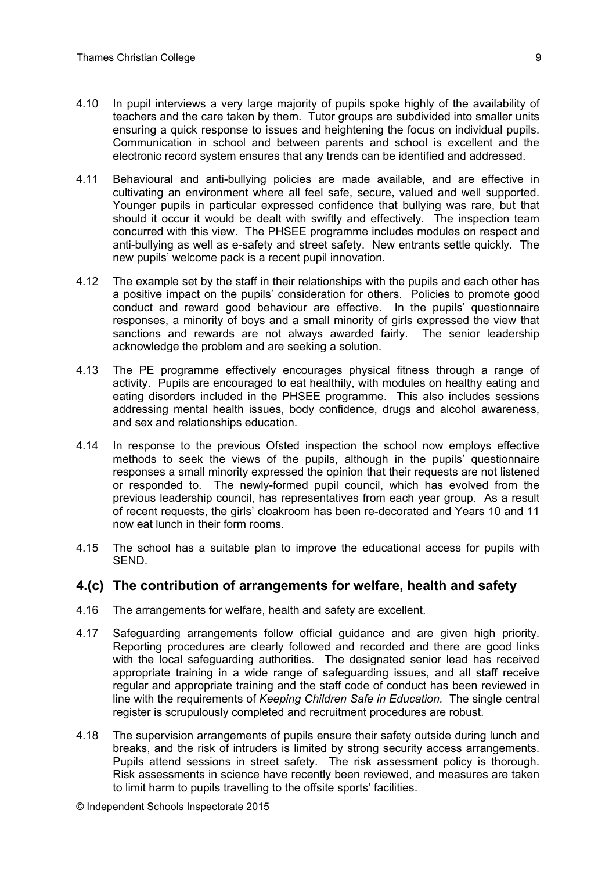- 4.10 In pupil interviews a very large majority of pupils spoke highly of the availability of teachers and the care taken by them. Tutor groups are subdivided into smaller units ensuring a quick response to issues and heightening the focus on individual pupils. Communication in school and between parents and school is excellent and the electronic record system ensures that any trends can be identified and addressed.
- 4.11 Behavioural and anti-bullying policies are made available, and are effective in cultivating an environment where all feel safe, secure, valued and well supported. Younger pupils in particular expressed confidence that bullying was rare, but that should it occur it would be dealt with swiftly and effectively. The inspection team concurred with this view. The PHSEE programme includes modules on respect and anti-bullying as well as e-safety and street safety. New entrants settle quickly. The new pupils' welcome pack is a recent pupil innovation.
- 4.12 The example set by the staff in their relationships with the pupils and each other has a positive impact on the pupils' consideration for others. Policies to promote good conduct and reward good behaviour are effective. In the pupils' questionnaire responses, a minority of boys and a small minority of girls expressed the view that sanctions and rewards are not always awarded fairly. The senior leadership acknowledge the problem and are seeking a solution.
- 4.13 The PE programme effectively encourages physical fitness through a range of activity. Pupils are encouraged to eat healthily, with modules on healthy eating and eating disorders included in the PHSEE programme. This also includes sessions addressing mental health issues, body confidence, drugs and alcohol awareness, and sex and relationships education.
- 4.14 In response to the previous Ofsted inspection the school now employs effective methods to seek the views of the pupils, although in the pupils' questionnaire responses a small minority expressed the opinion that their requests are not listened or responded to. The newly-formed pupil council, which has evolved from the previous leadership council, has representatives from each year group. As a result of recent requests, the girls' cloakroom has been re-decorated and Years 10 and 11 now eat lunch in their form rooms.
- 4.15 The school has a suitable plan to improve the educational access for pupils with SEND.

#### **4.(c) The contribution of arrangements for welfare, health and safety**

- 4.16 The arrangements for welfare, health and safety are excellent.
- 4.17 Safeguarding arrangements follow official guidance and are given high priority. Reporting procedures are clearly followed and recorded and there are good links with the local safeguarding authorities. The designated senior lead has received appropriate training in a wide range of safeguarding issues, and all staff receive regular and appropriate training and the staff code of conduct has been reviewed in line with the requirements of *Keeping Children Safe in Education.* The single central register is scrupulously completed and recruitment procedures are robust.
- 4.18 The supervision arrangements of pupils ensure their safety outside during lunch and breaks, and the risk of intruders is limited by strong security access arrangements. Pupils attend sessions in street safety. The risk assessment policy is thorough. Risk assessments in science have recently been reviewed, and measures are taken to limit harm to pupils travelling to the offsite sports' facilities.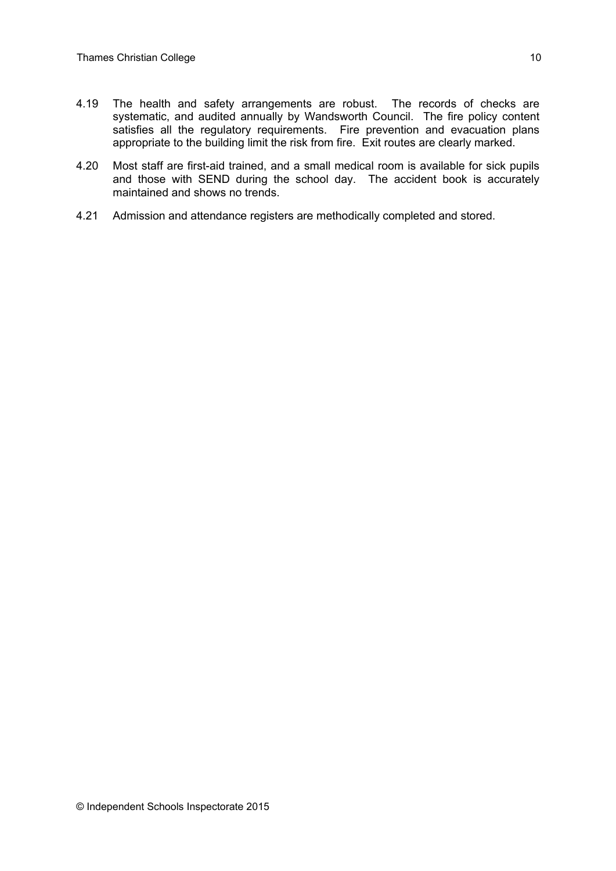- 4.19 The health and safety arrangements are robust. The records of checks are systematic, and audited annually by Wandsworth Council. The fire policy content satisfies all the regulatory requirements. Fire prevention and evacuation plans appropriate to the building limit the risk from fire. Exit routes are clearly marked.
- 4.20 Most staff are first-aid trained, and a small medical room is available for sick pupils and those with SEND during the school day. The accident book is accurately maintained and shows no trends.
- 4.21 Admission and attendance registers are methodically completed and stored.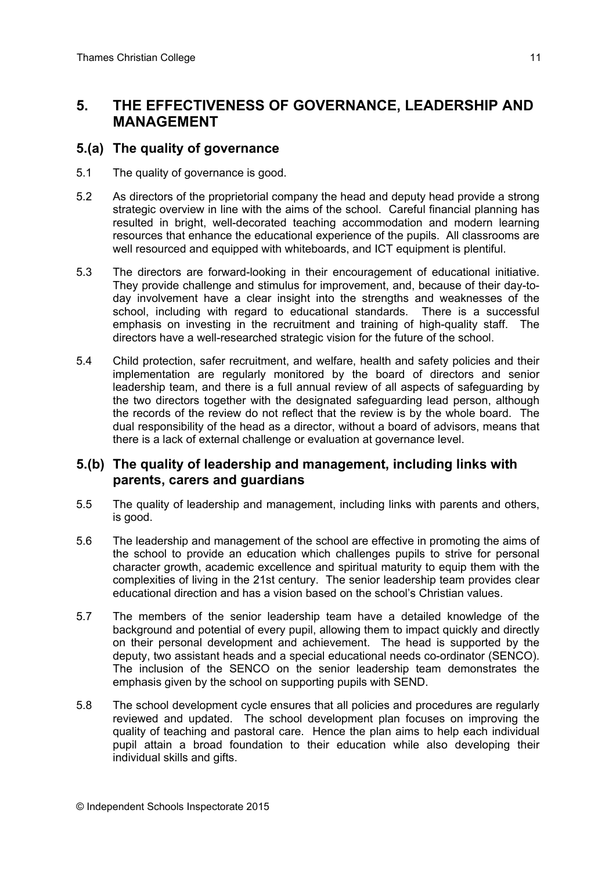## **5. THE EFFECTIVENESS OF GOVERNANCE, LEADERSHIP AND MANAGEMENT**

## **5.(a) The quality of governance**

- 5.1 The quality of governance is good.
- 5.2 As directors of the proprietorial company the head and deputy head provide a strong strategic overview in line with the aims of the school. Careful financial planning has resulted in bright, well-decorated teaching accommodation and modern learning resources that enhance the educational experience of the pupils. All classrooms are well resourced and equipped with whiteboards, and ICT equipment is plentiful.
- 5.3 The directors are forward-looking in their encouragement of educational initiative. They provide challenge and stimulus for improvement, and, because of their day-today involvement have a clear insight into the strengths and weaknesses of the school, including with regard to educational standards. There is a successful emphasis on investing in the recruitment and training of high-quality staff. The directors have a well-researched strategic vision for the future of the school.
- 5.4 Child protection, safer recruitment, and welfare, health and safety policies and their implementation are regularly monitored by the board of directors and senior leadership team, and there is a full annual review of all aspects of safeguarding by the two directors together with the designated safeguarding lead person, although the records of the review do not reflect that the review is by the whole board. The dual responsibility of the head as a director, without a board of advisors, means that there is a lack of external challenge or evaluation at governance level.

## **5.(b) The quality of leadership and management, including links with parents, carers and guardians**

- 5.5 The quality of leadership and management, including links with parents and others, is good.
- 5.6 The leadership and management of the school are effective in promoting the aims of the school to provide an education which challenges pupils to strive for personal character growth, academic excellence and spiritual maturity to equip them with the complexities of living in the 21st century. The senior leadership team provides clear educational direction and has a vision based on the school's Christian values.
- 5.7 The members of the senior leadership team have a detailed knowledge of the background and potential of every pupil, allowing them to impact quickly and directly on their personal development and achievement. The head is supported by the deputy, two assistant heads and a special educational needs co-ordinator (SENCO). The inclusion of the SENCO on the senior leadership team demonstrates the emphasis given by the school on supporting pupils with SEND.
- 5.8 The school development cycle ensures that all policies and procedures are regularly reviewed and updated. The school development plan focuses on improving the quality of teaching and pastoral care. Hence the plan aims to help each individual pupil attain a broad foundation to their education while also developing their individual skills and gifts.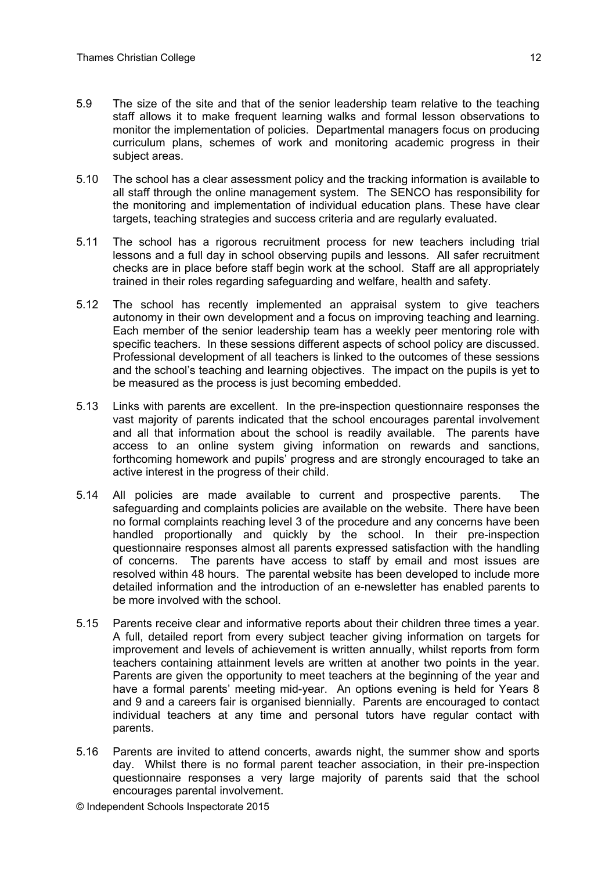- 5.9 The size of the site and that of the senior leadership team relative to the teaching staff allows it to make frequent learning walks and formal lesson observations to monitor the implementation of policies. Departmental managers focus on producing curriculum plans, schemes of work and monitoring academic progress in their subject areas.
- 5.10 The school has a clear assessment policy and the tracking information is available to all staff through the online management system. The SENCO has responsibility for the monitoring and implementation of individual education plans. These have clear targets, teaching strategies and success criteria and are regularly evaluated.
- 5.11 The school has a rigorous recruitment process for new teachers including trial lessons and a full day in school observing pupils and lessons. All safer recruitment checks are in place before staff begin work at the school. Staff are all appropriately trained in their roles regarding safeguarding and welfare, health and safety.
- 5.12 The school has recently implemented an appraisal system to give teachers autonomy in their own development and a focus on improving teaching and learning. Each member of the senior leadership team has a weekly peer mentoring role with specific teachers. In these sessions different aspects of school policy are discussed. Professional development of all teachers is linked to the outcomes of these sessions and the school's teaching and learning objectives. The impact on the pupils is yet to be measured as the process is just becoming embedded.
- 5.13 Links with parents are excellent. In the pre-inspection questionnaire responses the vast majority of parents indicated that the school encourages parental involvement and all that information about the school is readily available. The parents have access to an online system giving information on rewards and sanctions, forthcoming homework and pupils' progress and are strongly encouraged to take an active interest in the progress of their child.
- 5.14 All policies are made available to current and prospective parents. The safeguarding and complaints policies are available on the website. There have been no formal complaints reaching level 3 of the procedure and any concerns have been handled proportionally and quickly by the school. In their pre-inspection questionnaire responses almost all parents expressed satisfaction with the handling of concerns. The parents have access to staff by email and most issues are resolved within 48 hours. The parental website has been developed to include more detailed information and the introduction of an e-newsletter has enabled parents to be more involved with the school.
- 5.15 Parents receive clear and informative reports about their children three times a year. A full, detailed report from every subject teacher giving information on targets for improvement and levels of achievement is written annually, whilst reports from form teachers containing attainment levels are written at another two points in the year. Parents are given the opportunity to meet teachers at the beginning of the year and have a formal parents' meeting mid-year. An options evening is held for Years 8 and 9 and a careers fair is organised biennially. Parents are encouraged to contact individual teachers at any time and personal tutors have regular contact with parents.
- 5.16 Parents are invited to attend concerts, awards night, the summer show and sports day. Whilst there is no formal parent teacher association, in their pre-inspection questionnaire responses a very large majority of parents said that the school encourages parental involvement.